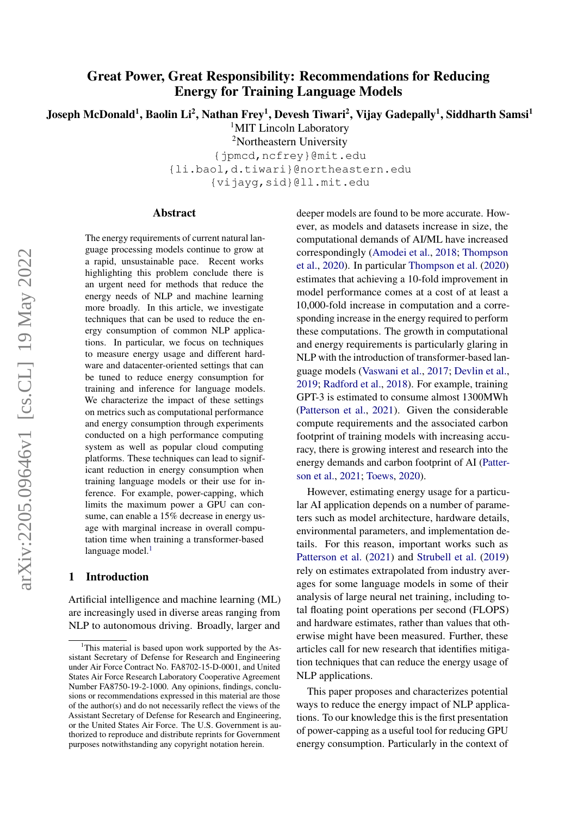# Great Power, Great Responsibility: Recommendations for Reducing Energy for Training Language Models

Joseph McDonald<sup>1</sup>, Baolin Li<sup>2</sup>, Nathan Frey<sup>1</sup>, Devesh Tiwari<sup>2</sup>, Vijay Gadepally<sup>1</sup>, Siddharth Samsi<sup>1</sup>

<sup>1</sup>MIT Lincoln Laboratory

<sup>2</sup>Northeastern University

{jpmcd,ncfrey}@mit.edu {li.baol,d.tiwari}@northeastern.edu {vijayg,sid}@ll.mit.edu

#### Abstract

The energy requirements of current natural language processing models continue to grow at a rapid, unsustainable pace. Recent works highlighting this problem conclude there is an urgent need for methods that reduce the energy needs of NLP and machine learning more broadly. In this article, we investigate techniques that can be used to reduce the energy consumption of common NLP applications. In particular, we focus on techniques to measure energy usage and different hardware and datacenter-oriented settings that can be tuned to reduce energy consumption for training and inference for language models. We characterize the impact of these settings on metrics such as computational performance and energy consumption through experiments conducted on a high performance computing system as well as popular cloud computing platforms. These techniques can lead to significant reduction in energy consumption when training language models or their use for inference. For example, power-capping, which limits the maximum power a GPU can consume, can enable a 15% decrease in energy usage with marginal increase in overall computation time when training a transformer-based language model. $<sup>1</sup>$  $<sup>1</sup>$  $<sup>1</sup>$ </sup>

### 1 Introduction

Artificial intelligence and machine learning (ML) are increasingly used in diverse areas ranging from NLP to autonomous driving. Broadly, larger and deeper models are found to be more accurate. However, as models and datasets increase in size, the computational demands of AI/ML have increased correspondingly [\(Amodei et al.,](#page-7-0) [2018;](#page-7-0) [Thompson](#page-8-0) [et al.,](#page-8-0) [2020\)](#page-8-0). In particular [Thompson et al.](#page-8-0) [\(2020\)](#page-8-0) estimates that achieving a 10-fold improvement in model performance comes at a cost of at least a 10,000-fold increase in computation and a corresponding increase in the energy required to perform these computations. The growth in computational and energy requirements is particularly glaring in NLP with the introduction of transformer-based language models [\(Vaswani et al.,](#page-8-1) [2017;](#page-8-1) [Devlin et al.,](#page-7-1) [2019;](#page-7-1) [Radford et al.,](#page-8-2) [2018\)](#page-8-2). For example, training GPT-3 is estimated to consume almost 1300MWh [\(Patterson et al.,](#page-8-3) [2021\)](#page-8-3). Given the considerable compute requirements and the associated carbon footprint of training models with increasing accuracy, there is growing interest and research into the energy demands and carbon footprint of AI [\(Patter](#page-8-3)[son et al.,](#page-8-3) [2021;](#page-8-3) [Toews,](#page-8-4) [2020\)](#page-8-4).

However, estimating energy usage for a particular AI application depends on a number of parameters such as model architecture, hardware details, environmental parameters, and implementation details. For this reason, important works such as [Patterson et al.](#page-8-3) [\(2021\)](#page-8-3) and [Strubell et al.](#page-8-5) [\(2019\)](#page-8-5) rely on estimates extrapolated from industry averages for some language models in some of their analysis of large neural net training, including total floating point operations per second (FLOPS) and hardware estimates, rather than values that otherwise might have been measured. Further, these articles call for new research that identifies mitigation techniques that can reduce the energy usage of NLP applications.

This paper proposes and characterizes potential ways to reduce the energy impact of NLP applications. To our knowledge this is the first presentation of power-capping as a useful tool for reducing GPU energy consumption. Particularly in the context of

<span id="page-0-0"></span><sup>&</sup>lt;sup>1</sup>This material is based upon work supported by the Assistant Secretary of Defense for Research and Engineering under Air Force Contract No. FA8702-15-D-0001, and United States Air Force Research Laboratory Cooperative Agreement Number FA8750-19-2-1000. Any opinions, findings, conclusions or recommendations expressed in this material are those of the author(s) and do not necessarily reflect the views of the Assistant Secretary of Defense for Research and Engineering, or the United States Air Force. The U.S. Government is authorized to reproduce and distribute reprints for Government purposes notwithstanding any copyright notation herein.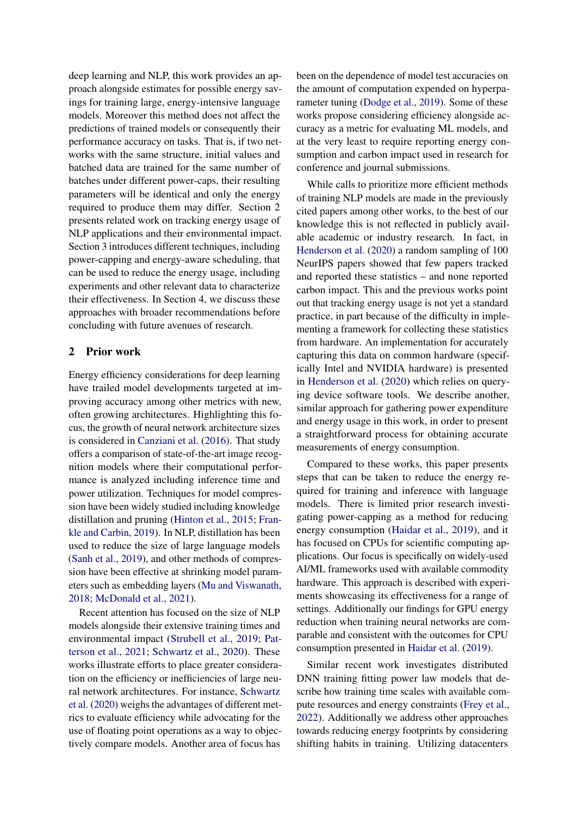deep learning and NLP, this work provides an approach alongside estimates for possible energy savings for training large, energy-intensive language models. Moreover this method does not affect the predictions of trained models or consequently their performance accuracy on tasks. That is, if two networks with the same structure, initial values and batched data are trained for the same number of batches under different power-caps, their resulting parameters will be identical and only the energy required to produce them may differ. Section 2 presents related work on tracking energy usage of NLP applications and their environmental impact. Section 3 introduces different techniques, including power-capping and energy-aware scheduling, that can be used to reduce the energy usage, including experiments and other relevant data to characterize their effectiveness. In Section 4, we discuss these approaches with broader recommendations before concluding with future avenues of research.

#### 2 Prior work

Energy efficiency considerations for deep learning have trailed model developments targeted at improving accuracy among other metrics with new, often growing architectures. Highlighting this focus, the growth of neural network architecture sizes is considered in [Canziani et al.](#page-7-2) [\(2016\)](#page-7-2). That study offers a comparison of state-of-the-art image recognition models where their computational performance is analyzed including inference time and power utilization. Techniques for model compression have been widely studied including knowledge distillation and pruning [\(Hinton et al.,](#page-8-6) [2015;](#page-8-6) [Fran](#page-7-3)[kle and Carbin,](#page-7-3) [2019\)](#page-7-3). In NLP, distillation has been used to reduce the size of large language models [\(Sanh et al.,](#page-8-7) [2019\)](#page-8-7), and other methods of compression have been effective at shrinking model parameters such as embedding layers [\(Mu and Viswanath,](#page-8-8) [2018;](#page-8-8) [McDonald et al.,](#page-8-9) [2021\)](#page-8-9).

Recent attention has focused on the size of NLP models alongside their extensive training times and environmental impact [\(Strubell et al.,](#page-8-5) [2019;](#page-8-5) [Pat](#page-8-3)[terson et al.,](#page-8-3) [2021;](#page-8-3) [Schwartz et al.,](#page-8-10) [2020\)](#page-8-10). These works illustrate efforts to place greater consideration on the efficiency or inefficiencies of large neural network architectures. For instance, [Schwartz](#page-8-10) [et al.](#page-8-10) [\(2020\)](#page-8-10) weighs the advantages of different metrics to evaluate efficiency while advocating for the use of floating point operations as a way to objectively compare models. Another area of focus has

been on the dependence of model test accuracies on the amount of computation expended on hyperparameter tuning [\(Dodge et al.,](#page-7-4) [2019\)](#page-7-4). Some of these works propose considering efficiency alongside accuracy as a metric for evaluating ML models, and at the very least to require reporting energy consumption and carbon impact used in research for conference and journal submissions.

While calls to prioritize more efficient methods of training NLP models are made in the previously cited papers among other works, to the best of our knowledge this is not reflected in publicly available academic or industry research. In fact, in [Henderson et al.](#page-7-5) [\(2020\)](#page-7-5) a random sampling of 100 NeurIPS papers showed that few papers tracked and reported these statistics – and none reported carbon impact. This and the previous works point out that tracking energy usage is not yet a standard practice, in part because of the difficulty in implementing a framework for collecting these statistics from hardware. An implementation for accurately capturing this data on common hardware (specifically Intel and NVIDIA hardware) is presented in [Henderson et al.](#page-7-5) [\(2020\)](#page-7-5) which relies on querying device software tools. We describe another, similar approach for gathering power expenditure and energy usage in this work, in order to present a straightforward process for obtaining accurate measurements of energy consumption.

Compared to these works, this paper presents steps that can be taken to reduce the energy required for training and inference with language models. There is limited prior research investigating power-capping as a method for reducing energy consumption [\(Haidar et al.,](#page-7-6) [2019\)](#page-7-6), and it has focused on CPUs for scientific computing applications. Our focus is specifically on widely-used AI/ML frameworks used with available commodity hardware. This approach is described with experiments showcasing its effectiveness for a range of settings. Additionally our findings for GPU energy reduction when training neural networks are comparable and consistent with the outcomes for CPU consumption presented in [Haidar et al.](#page-7-6) [\(2019\)](#page-7-6).

Similar recent work investigates distributed DNN training fitting power law models that describe how training time scales with available compute resources and energy constraints [\(Frey et al.,](#page-7-7) [2022\)](#page-7-7). Additionally we address other approaches towards reducing energy footprints by considering shifting habits in training. Utilizing datacenters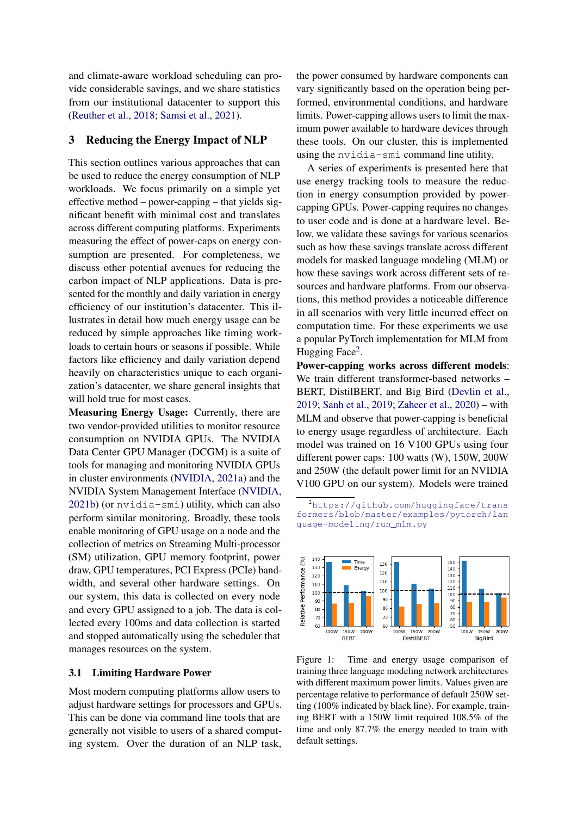and climate-aware workload scheduling can provide considerable savings, and we share statistics from our institutional datacenter to support this [\(Reuther et al.,](#page-8-11) [2018;](#page-8-11) [Samsi et al.,](#page-8-12) [2021\)](#page-8-12).

### <span id="page-2-2"></span>3 Reducing the Energy Impact of NLP

This section outlines various approaches that can be used to reduce the energy consumption of NLP workloads. We focus primarily on a simple yet effective method – power-capping – that yields significant benefit with minimal cost and translates across different computing platforms. Experiments measuring the effect of power-caps on energy consumption are presented. For completeness, we discuss other potential avenues for reducing the carbon impact of NLP applications. Data is presented for the monthly and daily variation in energy efficiency of our institution's datacenter. This illustrates in detail how much energy usage can be reduced by simple approaches like timing workloads to certain hours or seasons if possible. While factors like efficiency and daily variation depend heavily on characteristics unique to each organization's datacenter, we share general insights that will hold true for most cases.

Measuring Energy Usage: Currently, there are two vendor-provided utilities to monitor resource consumption on NVIDIA GPUs. The NVIDIA Data Center GPU Manager (DCGM) is a suite of tools for managing and monitoring NVIDIA GPUs in cluster environments [\(NVIDIA,](#page-8-13) [2021a\)](#page-8-13) and the NVIDIA System Management Interface [\(NVIDIA,](#page-8-14) [2021b\)](#page-8-14) (or nvidia-smi) utility, which can also perform similar monitoring. Broadly, these tools enable monitoring of GPU usage on a node and the collection of metrics on Streaming Multi-processor (SM) utilization, GPU memory footprint, power draw, GPU temperatures, PCI Express (PCIe) bandwidth, and several other hardware settings. On our system, this data is collected on every node and every GPU assigned to a job. The data is collected every 100ms and data collection is started and stopped automatically using the scheduler that manages resources on the system.

#### 3.1 Limiting Hardware Power

Most modern computing platforms allow users to adjust hardware settings for processors and GPUs. This can be done via command line tools that are generally not visible to users of a shared computing system. Over the duration of an NLP task, the power consumed by hardware components can vary significantly based on the operation being performed, environmental conditions, and hardware limits. Power-capping allows users to limit the maximum power available to hardware devices through these tools. On our cluster, this is implemented using the nvidia-smi command line utility.

A series of experiments is presented here that use energy tracking tools to measure the reduction in energy consumption provided by powercapping GPUs. Power-capping requires no changes to user code and is done at a hardware level. Below, we validate these savings for various scenarios such as how these savings translate across different models for masked language modeling (MLM) or how these savings work across different sets of resources and hardware platforms. From our observations, this method provides a noticeable difference in all scenarios with very little incurred effect on computation time. For these experiments we use a popular PyTorch implementation for MLM from Hugging Face<sup>[2](#page-2-0)</sup>.

Power-capping works across different models: We train different transformer-based networks – BERT, DistilBERT, and Big Bird [\(Devlin et al.,](#page-7-1) [2019;](#page-7-1) [Sanh et al.,](#page-8-7) [2019;](#page-8-7) [Zaheer et al.,](#page-8-15) [2020\)](#page-8-15) – with MLM and observe that power-capping is beneficial to energy usage regardless of architecture. Each model was trained on 16 V100 GPUs using four different power caps: 100 watts (W), 150W, 200W and 250W (the default power limit for an NVIDIA V100 GPU on our system). Models were trained

<span id="page-2-0"></span><sup>2</sup>[https://github.com/huggingface/trans](https://github.com/huggingface/transformers/blob/master/examples/pytorch/language-modeling/run_mlm.py) [formers/blob/master/examples/pytorch/lan](https://github.com/huggingface/transformers/blob/master/examples/pytorch/language-modeling/run_mlm.py) [guage-modeling/run\\_mlm.py](https://github.com/huggingface/transformers/blob/master/examples/pytorch/language-modeling/run_mlm.py)

<span id="page-2-1"></span>

Figure 1: Time and energy usage comparison of training three language modeling network architectures with different maximum power limits. Values given are percentage relative to performance of default 250W setting (100% indicated by black line). For example, training BERT with a 150W limit required 108.5% of the time and only 87.7% the energy needed to train with default settings.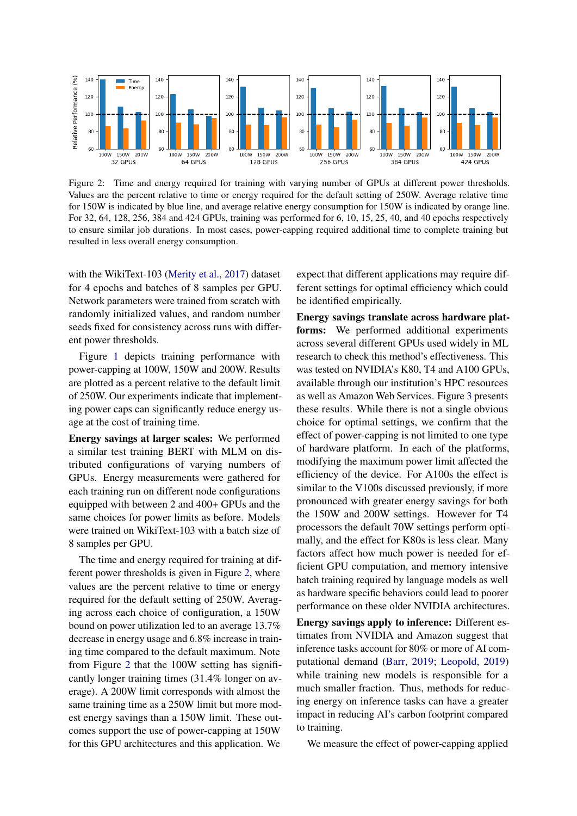<span id="page-3-0"></span>

Figure 2: Time and energy required for training with varying number of GPUs at different power thresholds. Values are the percent relative to time or energy required for the default setting of 250W. Average relative time for 150W is indicated by blue line, and average relative energy consumption for 150W is indicated by orange line. For 32, 64, 128, 256, 384 and 424 GPUs, training was performed for 6, 10, 15, 25, 40, and 40 epochs respectively to ensure similar job durations. In most cases, power-capping required additional time to complete training but resulted in less overall energy consumption.

with the WikiText-103 [\(Merity et al.,](#page-8-16) [2017\)](#page-8-16) dataset for 4 epochs and batches of 8 samples per GPU. Network parameters were trained from scratch with randomly initialized values, and random number seeds fixed for consistency across runs with different power thresholds.

Figure [1](#page-2-1) depicts training performance with power-capping at 100W, 150W and 200W. Results are plotted as a percent relative to the default limit of 250W. Our experiments indicate that implementing power caps can significantly reduce energy usage at the cost of training time.

Energy savings at larger scales: We performed a similar test training BERT with MLM on distributed configurations of varying numbers of GPUs. Energy measurements were gathered for each training run on different node configurations equipped with between 2 and 400+ GPUs and the same choices for power limits as before. Models were trained on WikiText-103 with a batch size of 8 samples per GPU.

The time and energy required for training at different power thresholds is given in Figure [2,](#page-3-0) where values are the percent relative to time or energy required for the default setting of 250W. Averaging across each choice of configuration, a 150W bound on power utilization led to an average 13.7% decrease in energy usage and 6.8% increase in training time compared to the default maximum. Note from Figure [2](#page-3-0) that the 100W setting has significantly longer training times (31.4% longer on average). A 200W limit corresponds with almost the same training time as a 250W limit but more modest energy savings than a 150W limit. These outcomes support the use of power-capping at 150W for this GPU architectures and this application. We

expect that different applications may require different settings for optimal efficiency which could be identified empirically.

Energy savings translate across hardware platforms: We performed additional experiments across several different GPUs used widely in ML research to check this method's effectiveness. This was tested on NVIDIA's K80, T4 and A100 GPUs, available through our institution's HPC resources as well as Amazon Web Services. Figure [3](#page-4-0) presents these results. While there is not a single obvious choice for optimal settings, we confirm that the effect of power-capping is not limited to one type of hardware platform. In each of the platforms, modifying the maximum power limit affected the efficiency of the device. For A100s the effect is similar to the V100s discussed previously, if more pronounced with greater energy savings for both the 150W and 200W settings. However for T4 processors the default 70W settings perform optimally, and the effect for K80s is less clear. Many factors affect how much power is needed for efficient GPU computation, and memory intensive batch training required by language models as well as hardware specific behaviors could lead to poorer performance on these older NVIDIA architectures.

Energy savings apply to inference: Different estimates from NVIDIA and Amazon suggest that inference tasks account for 80% or more of AI computational demand [\(Barr,](#page-7-8) [2019;](#page-7-8) [Leopold,](#page-8-17) [2019\)](#page-8-17) while training new models is responsible for a much smaller fraction. Thus, methods for reducing energy on inference tasks can have a greater impact in reducing AI's carbon footprint compared to training.

We measure the effect of power-capping applied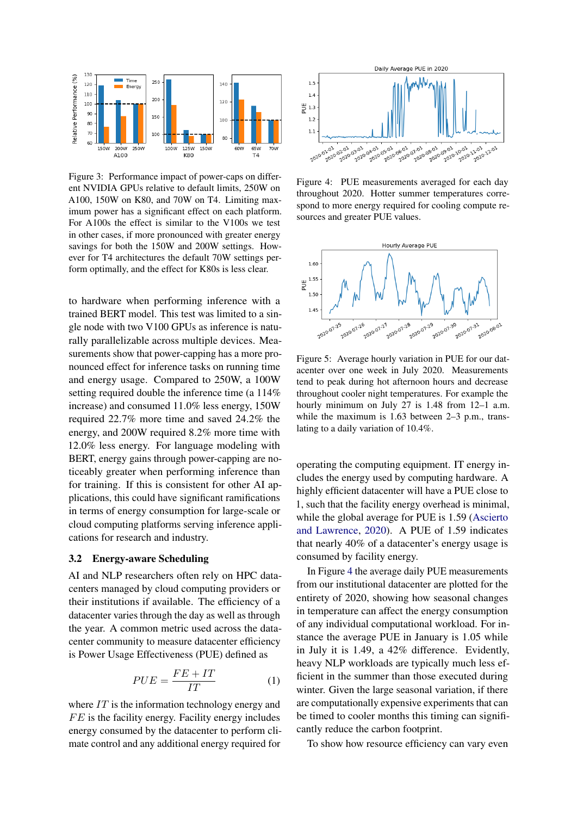<span id="page-4-0"></span>

Figure 3: Performance impact of power-caps on different NVIDIA GPUs relative to default limits, 250W on A100, 150W on K80, and 70W on T4. Limiting maximum power has a significant effect on each platform. For A100s the effect is similar to the V100s we test in other cases, if more pronounced with greater energy savings for both the 150W and 200W settings. However for T4 architectures the default 70W settings perform optimally, and the effect for K80s is less clear.

to hardware when performing inference with a trained BERT model. This test was limited to a single node with two V100 GPUs as inference is naturally parallelizable across multiple devices. Measurements show that power-capping has a more pronounced effect for inference tasks on running time and energy usage. Compared to 250W, a 100W setting required double the inference time (a 114% increase) and consumed 11.0% less energy, 150W required 22.7% more time and saved 24.2% the energy, and 200W required 8.2% more time with 12.0% less energy. For language modeling with BERT, energy gains through power-capping are noticeably greater when performing inference than for training. If this is consistent for other AI applications, this could have significant ramifications in terms of energy consumption for large-scale or cloud computing platforms serving inference applications for research and industry.

#### 3.2 Energy-aware Scheduling

AI and NLP researchers often rely on HPC datacenters managed by cloud computing providers or their institutions if available. The efficiency of a datacenter varies through the day as well as through the year. A common metric used across the datacenter community to measure datacenter efficiency is Power Usage Effectiveness (PUE) defined as

$$
PUE = \frac{FE + IT}{IT} \tag{1}
$$

where  $IT$  is the information technology energy and  $FE$  is the facility energy. Facility energy includes energy consumed by the datacenter to perform climate control and any additional energy required for

<span id="page-4-1"></span>

Figure 4: PUE measurements averaged for each day throughout 2020. Hotter summer temperatures correspond to more energy required for cooling compute resources and greater PUE values.

<span id="page-4-2"></span>

Figure 5: Average hourly variation in PUE for our datacenter over one week in July 2020. Measurements tend to peak during hot afternoon hours and decrease throughout cooler night temperatures. For example the hourly minimum on July 27 is 1.48 from 12–1 a.m. while the maximum is 1.63 between 2–3 p.m., translating to a daily variation of 10.4%.

operating the computing equipment. IT energy includes the energy used by computing hardware. A highly efficient datacenter will have a PUE close to 1, such that the facility energy overhead is minimal, while the global average for PUE is 1.59 [\(Ascierto](#page-7-9) [and Lawrence,](#page-7-9) [2020\)](#page-7-9). A PUE of 1.59 indicates that nearly 40% of a datacenter's energy usage is consumed by facility energy.

In Figure [4](#page-4-1) the average daily PUE measurements from our institutional datacenter are plotted for the entirety of 2020, showing how seasonal changes in temperature can affect the energy consumption of any individual computational workload. For instance the average PUE in January is 1.05 while in July it is 1.49, a 42% difference. Evidently, heavy NLP workloads are typically much less efficient in the summer than those executed during winter. Given the large seasonal variation, if there are computationally expensive experiments that can be timed to cooler months this timing can significantly reduce the carbon footprint.

To show how resource efficiency can vary even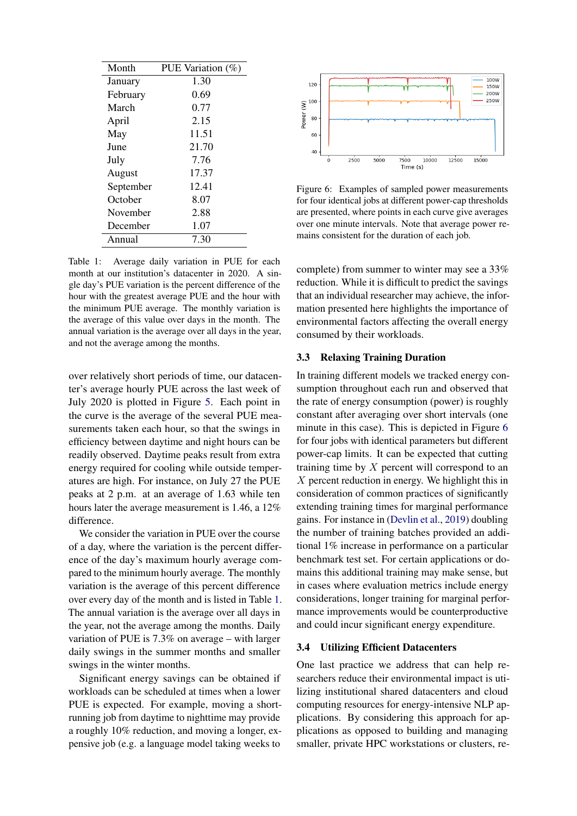<span id="page-5-0"></span>

| Month     | PUE Variation (%) |
|-----------|-------------------|
| January   | 1.30              |
| February  | 0.69              |
| March     | 0.77              |
| April     | 2.15              |
| May       | 11.51             |
| June      | 21.70             |
| July      | 7.76              |
| August    | 17.37             |
| September | 12.41             |
| October   | 8.07              |
| November  | 2.88              |
| December  | 1.07              |
| Annual    | 7.30              |

Table 1: Average daily variation in PUE for each month at our institution's datacenter in 2020. A single day's PUE variation is the percent difference of the hour with the greatest average PUE and the hour with the minimum PUE average. The monthly variation is the average of this value over days in the month. The annual variation is the average over all days in the year, and not the average among the months.

over relatively short periods of time, our datacenter's average hourly PUE across the last week of July 2020 is plotted in Figure [5.](#page-4-2) Each point in the curve is the average of the several PUE measurements taken each hour, so that the swings in efficiency between daytime and night hours can be readily observed. Daytime peaks result from extra energy required for cooling while outside temperatures are high. For instance, on July 27 the PUE peaks at 2 p.m. at an average of 1.63 while ten hours later the average measurement is 1.46, a 12% difference.

We consider the variation in PUE over the course of a day, where the variation is the percent difference of the day's maximum hourly average compared to the minimum hourly average. The monthly variation is the average of this percent difference over every day of the month and is listed in Table [1.](#page-5-0) The annual variation is the average over all days in the year, not the average among the months. Daily variation of PUE is 7.3% on average – with larger daily swings in the summer months and smaller swings in the winter months.

Significant energy savings can be obtained if workloads can be scheduled at times when a lower PUE is expected. For example, moving a shortrunning job from daytime to nighttime may provide a roughly 10% reduction, and moving a longer, expensive job (e.g. a language model taking weeks to

<span id="page-5-1"></span>

Figure 6: Examples of sampled power measurements for four identical jobs at different power-cap thresholds are presented, where points in each curve give averages over one minute intervals. Note that average power remains consistent for the duration of each job.

complete) from summer to winter may see a 33% reduction. While it is difficult to predict the savings that an individual researcher may achieve, the information presented here highlights the importance of environmental factors affecting the overall energy consumed by their workloads.

#### 3.3 Relaxing Training Duration

In training different models we tracked energy consumption throughout each run and observed that the rate of energy consumption (power) is roughly constant after averaging over short intervals (one minute in this case). This is depicted in Figure [6](#page-5-1) for four jobs with identical parameters but different power-cap limits. It can be expected that cutting training time by  $X$  percent will correspond to an X percent reduction in energy. We highlight this in consideration of common practices of significantly extending training times for marginal performance gains. For instance in [\(Devlin et al.,](#page-7-1) [2019\)](#page-7-1) doubling the number of training batches provided an additional 1% increase in performance on a particular benchmark test set. For certain applications or domains this additional training may make sense, but in cases where evaluation metrics include energy considerations, longer training for marginal performance improvements would be counterproductive and could incur significant energy expenditure.

#### 3.4 Utilizing Efficient Datacenters

One last practice we address that can help researchers reduce their environmental impact is utilizing institutional shared datacenters and cloud computing resources for energy-intensive NLP applications. By considering this approach for applications as opposed to building and managing smaller, private HPC workstations or clusters, re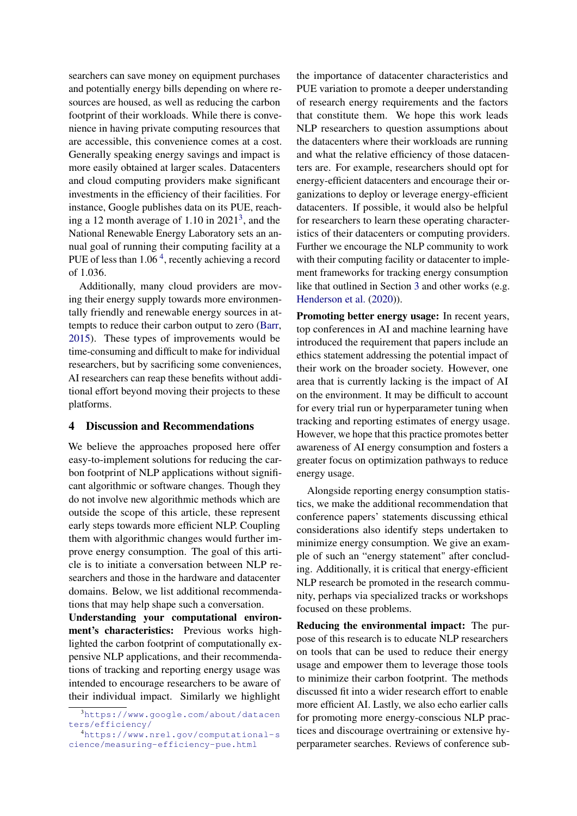searchers can save money on equipment purchases and potentially energy bills depending on where resources are housed, as well as reducing the carbon footprint of their workloads. While there is convenience in having private computing resources that are accessible, this convenience comes at a cost. Generally speaking energy savings and impact is more easily obtained at larger scales. Datacenters and cloud computing providers make significant investments in the efficiency of their facilities. For instance, Google publishes data on its PUE, reaching a 12 month average of  $1.10$  in  $2021<sup>3</sup>$  $2021<sup>3</sup>$  $2021<sup>3</sup>$ , and the National Renewable Energy Laboratory sets an annual goal of running their computing facility at a PUE of less than 1.06<sup>[4](#page-6-1)</sup>, recently achieving a record of 1.036.

Additionally, many cloud providers are moving their energy supply towards more environmentally friendly and renewable energy sources in attempts to reduce their carbon output to zero [\(Barr,](#page-7-10) [2015\)](#page-7-10). These types of improvements would be time-consuming and difficult to make for individual researchers, but by sacrificing some conveniences, AI researchers can reap these benefits without additional effort beyond moving their projects to these platforms.

#### 4 Discussion and Recommendations

We believe the approaches proposed here offer easy-to-implement solutions for reducing the carbon footprint of NLP applications without significant algorithmic or software changes. Though they do not involve new algorithmic methods which are outside the scope of this article, these represent early steps towards more efficient NLP. Coupling them with algorithmic changes would further improve energy consumption. The goal of this article is to initiate a conversation between NLP researchers and those in the hardware and datacenter domains. Below, we list additional recommendations that may help shape such a conversation.

Understanding your computational environment's characteristics: Previous works highlighted the carbon footprint of computationally expensive NLP applications, and their recommendations of tracking and reporting energy usage was intended to encourage researchers to be aware of their individual impact. Similarly we highlight

the importance of datacenter characteristics and PUE variation to promote a deeper understanding of research energy requirements and the factors that constitute them. We hope this work leads NLP researchers to question assumptions about the datacenters where their workloads are running and what the relative efficiency of those datacenters are. For example, researchers should opt for energy-efficient datacenters and encourage their organizations to deploy or leverage energy-efficient datacenters. If possible, it would also be helpful for researchers to learn these operating characteristics of their datacenters or computing providers. Further we encourage the NLP community to work with their computing facility or datacenter to implement frameworks for tracking energy consumption like that outlined in Section [3](#page-2-2) and other works (e.g. [Henderson et al.](#page-7-5) [\(2020\)](#page-7-5)).

Promoting better energy usage: In recent years, top conferences in AI and machine learning have introduced the requirement that papers include an ethics statement addressing the potential impact of their work on the broader society. However, one area that is currently lacking is the impact of AI on the environment. It may be difficult to account for every trial run or hyperparameter tuning when tracking and reporting estimates of energy usage. However, we hope that this practice promotes better awareness of AI energy consumption and fosters a greater focus on optimization pathways to reduce energy usage.

Alongside reporting energy consumption statistics, we make the additional recommendation that conference papers' statements discussing ethical considerations also identify steps undertaken to minimize energy consumption. We give an example of such an "energy statement" after concluding. Additionally, it is critical that energy-efficient NLP research be promoted in the research community, perhaps via specialized tracks or workshops focused on these problems.

Reducing the environmental impact: The purpose of this research is to educate NLP researchers on tools that can be used to reduce their energy usage and empower them to leverage those tools to minimize their carbon footprint. The methods discussed fit into a wider research effort to enable more efficient AI. Lastly, we also echo earlier calls for promoting more energy-conscious NLP practices and discourage overtraining or extensive hyperparameter searches. Reviews of conference sub-

<span id="page-6-0"></span><sup>3</sup>[https://www.google.com/about/datacen](https://www.google.com/about/datacenters/efficiency/) [ters/efficiency/](https://www.google.com/about/datacenters/efficiency/)

<span id="page-6-1"></span><sup>4</sup>[https://www.nrel.gov/computational-s](https://www.nrel.gov/computational-science/measuring-efficiency-pue.html) [cience/measuring-efficiency-pue.html](https://www.nrel.gov/computational-science/measuring-efficiency-pue.html)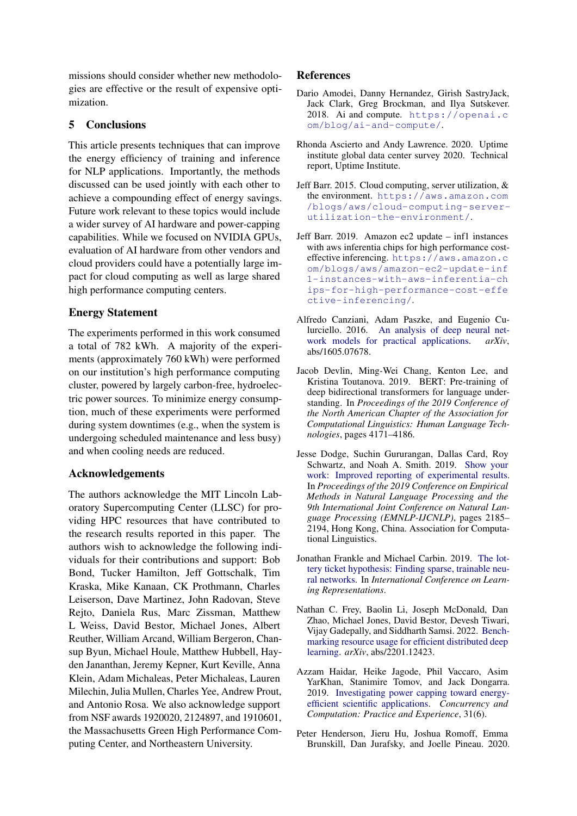missions should consider whether new methodologies are effective or the result of expensive optimization.

### 5 Conclusions

This article presents techniques that can improve the energy efficiency of training and inference for NLP applications. Importantly, the methods discussed can be used jointly with each other to achieve a compounding effect of energy savings. Future work relevant to these topics would include a wider survey of AI hardware and power-capping capabilities. While we focused on NVIDIA GPUs, evaluation of AI hardware from other vendors and cloud providers could have a potentially large impact for cloud computing as well as large shared high performance computing centers.

### Energy Statement

The experiments performed in this work consumed a total of 782 kWh. A majority of the experiments (approximately 760 kWh) were performed on our institution's high performance computing cluster, powered by largely carbon-free, hydroelectric power sources. To minimize energy consumption, much of these experiments were performed during system downtimes (e.g., when the system is undergoing scheduled maintenance and less busy) and when cooling needs are reduced.

### Acknowledgements

The authors acknowledge the MIT Lincoln Laboratory Supercomputing Center (LLSC) for providing HPC resources that have contributed to the research results reported in this paper. The authors wish to acknowledge the following individuals for their contributions and support: Bob Bond, Tucker Hamilton, Jeff Gottschalk, Tim Kraska, Mike Kanaan, CK Prothmann, Charles Leiserson, Dave Martinez, John Radovan, Steve Rejto, Daniela Rus, Marc Zissman, Matthew L Weiss, David Bestor, Michael Jones, Albert Reuther, William Arcand, William Bergeron, Chansup Byun, Michael Houle, Matthew Hubbell, Hayden Jananthan, Jeremy Kepner, Kurt Keville, Anna Klein, Adam Michaleas, Peter Michaleas, Lauren Milechin, Julia Mullen, Charles Yee, Andrew Prout, and Antonio Rosa. We also acknowledge support from NSF awards 1920020, 2124897, and 1910601, the Massachusetts Green High Performance Computing Center, and Northeastern University.

## References

- <span id="page-7-0"></span>Dario Amodei, Danny Hernandez, Girish SastryJack, Jack Clark, Greg Brockman, and Ilya Sutskever. 2018. Ai and compute. [https://openai.c](https://openai.com/blog/ai-and-compute/) [om/blog/ai-and-compute/](https://openai.com/blog/ai-and-compute/).
- <span id="page-7-9"></span>Rhonda Ascierto and Andy Lawrence. 2020. Uptime institute global data center survey 2020. Technical report, Uptime Institute.
- <span id="page-7-10"></span>Jeff Barr. 2015. Cloud computing, server utilization, & the environment. [https://aws.amazon.com](https://aws.amazon.com/blogs/aws/cloud-computing-server-utilization-the-environment/) [/blogs/aws/cloud-computing-server](https://aws.amazon.com/blogs/aws/cloud-computing-server-utilization-the-environment/)[utilization-the-environment/](https://aws.amazon.com/blogs/aws/cloud-computing-server-utilization-the-environment/).
- <span id="page-7-8"></span>Jeff Barr. 2019. Amazon ec2 update – inf1 instances with aws inferentia chips for high performance costeffective inferencing. [https://aws.amazon.c](https://aws.amazon.com/blogs/aws/amazon-ec2-update-inf1-instances-with-aws-inferentia-chips-for-high-performance-cost-effective-inferencing/) [om/blogs/aws/amazon-ec2-update-inf](https://aws.amazon.com/blogs/aws/amazon-ec2-update-inf1-instances-with-aws-inferentia-chips-for-high-performance-cost-effective-inferencing/) [1-instances-with-aws-inferentia-ch](https://aws.amazon.com/blogs/aws/amazon-ec2-update-inf1-instances-with-aws-inferentia-chips-for-high-performance-cost-effective-inferencing/) [ips-for-high-performance-cost-effe](https://aws.amazon.com/blogs/aws/amazon-ec2-update-inf1-instances-with-aws-inferentia-chips-for-high-performance-cost-effective-inferencing/) [ctive-inferencing/](https://aws.amazon.com/blogs/aws/amazon-ec2-update-inf1-instances-with-aws-inferentia-chips-for-high-performance-cost-effective-inferencing/).
- <span id="page-7-2"></span>Alfredo Canziani, Adam Paszke, and Eugenio Culurciello. 2016. [An analysis of deep neural net](http://arxiv.org/abs/1605.07678)[work models for practical applications.](http://arxiv.org/abs/1605.07678) *arXiv*, abs/1605.07678.
- <span id="page-7-1"></span>Jacob Devlin, Ming-Wei Chang, Kenton Lee, and Kristina Toutanova. 2019. BERT: Pre-training of deep bidirectional transformers for language understanding. In *Proceedings of the 2019 Conference of the North American Chapter of the Association for Computational Linguistics: Human Language Technologies*, pages 4171–4186.
- <span id="page-7-4"></span>Jesse Dodge, Suchin Gururangan, Dallas Card, Roy Schwartz, and Noah A. Smith. 2019. [Show your](https://doi.org/10.18653/v1/D19-1224) [work: Improved reporting of experimental results.](https://doi.org/10.18653/v1/D19-1224) In *Proceedings of the 2019 Conference on Empirical Methods in Natural Language Processing and the 9th International Joint Conference on Natural Language Processing (EMNLP-IJCNLP)*, pages 2185– 2194, Hong Kong, China. Association for Computational Linguistics.
- <span id="page-7-3"></span>Jonathan Frankle and Michael Carbin. 2019. [The lot](https://openreview.net/forum?id=rJl-b3RcF7)[tery ticket hypothesis: Finding sparse, trainable neu](https://openreview.net/forum?id=rJl-b3RcF7)[ral networks.](https://openreview.net/forum?id=rJl-b3RcF7) In *International Conference on Learning Representations*.
- <span id="page-7-7"></span>Nathan C. Frey, Baolin Li, Joseph McDonald, Dan Zhao, Michael Jones, David Bestor, Devesh Tiwari, Vijay Gadepally, and Siddharth Samsi. 2022. [Bench](https://arxiv.org/abs/2201.12423)[marking resource usage for efficient distributed deep](https://arxiv.org/abs/2201.12423) [learning.](https://arxiv.org/abs/2201.12423) *arXiv*, abs/2201.12423.
- <span id="page-7-6"></span>Azzam Haidar, Heike Jagode, Phil Vaccaro, Asim YarKhan, Stanimire Tomov, and Jack Dongarra. 2019. [Investigating power capping toward energy](https://onlinelibrary.wiley.com/doi/abs/10.1002/cpe.4485)[efficient scientific applications.](https://onlinelibrary.wiley.com/doi/abs/10.1002/cpe.4485) *Concurrency and Computation: Practice and Experience*, 31(6).
- <span id="page-7-5"></span>Peter Henderson, Jieru Hu, Joshua Romoff, Emma Brunskill, Dan Jurafsky, and Joelle Pineau. 2020.